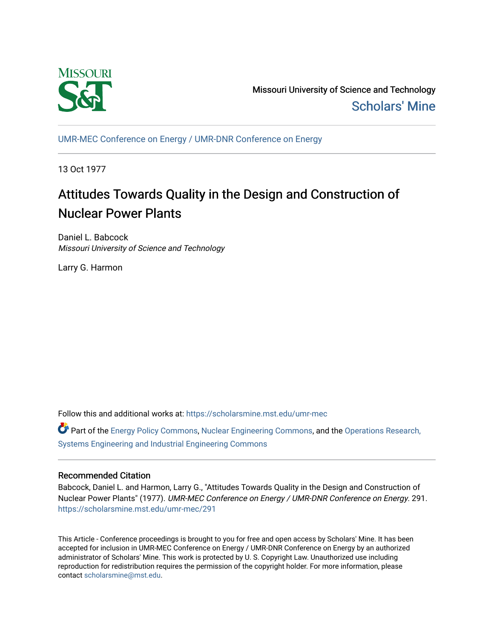

Missouri University of Science and Technology [Scholars' Mine](https://scholarsmine.mst.edu/) 

[UMR-MEC Conference on Energy / UMR-DNR Conference on Energy](https://scholarsmine.mst.edu/umr-mec)

13 Oct 1977

# Attitudes Towards Quality in the Design and Construction of Nuclear Power Plants

Daniel L. Babcock Missouri University of Science and Technology

Larry G. Harmon

Follow this and additional works at: [https://scholarsmine.mst.edu/umr-mec](https://scholarsmine.mst.edu/umr-mec?utm_source=scholarsmine.mst.edu%2Fumr-mec%2F291&utm_medium=PDF&utm_campaign=PDFCoverPages) 

Part of the [Energy Policy Commons](http://network.bepress.com/hgg/discipline/1065?utm_source=scholarsmine.mst.edu%2Fumr-mec%2F291&utm_medium=PDF&utm_campaign=PDFCoverPages), [Nuclear Engineering Commons](http://network.bepress.com/hgg/discipline/314?utm_source=scholarsmine.mst.edu%2Fumr-mec%2F291&utm_medium=PDF&utm_campaign=PDFCoverPages), and the [Operations Research,](http://network.bepress.com/hgg/discipline/305?utm_source=scholarsmine.mst.edu%2Fumr-mec%2F291&utm_medium=PDF&utm_campaign=PDFCoverPages)  [Systems Engineering and Industrial Engineering Commons](http://network.bepress.com/hgg/discipline/305?utm_source=scholarsmine.mst.edu%2Fumr-mec%2F291&utm_medium=PDF&utm_campaign=PDFCoverPages)

# Recommended Citation

Babcock, Daniel L. and Harmon, Larry G., "Attitudes Towards Quality in the Design and Construction of Nuclear Power Plants" (1977). UMR-MEC Conference on Energy / UMR-DNR Conference on Energy. 291. [https://scholarsmine.mst.edu/umr-mec/291](https://scholarsmine.mst.edu/umr-mec/291?utm_source=scholarsmine.mst.edu%2Fumr-mec%2F291&utm_medium=PDF&utm_campaign=PDFCoverPages) 

This Article - Conference proceedings is brought to you for free and open access by Scholars' Mine. It has been accepted for inclusion in UMR-MEC Conference on Energy / UMR-DNR Conference on Energy by an authorized administrator of Scholars' Mine. This work is protected by U. S. Copyright Law. Unauthorized use including reproduction for redistribution requires the permission of the copyright holder. For more information, please contact [scholarsmine@mst.edu](mailto:scholarsmine@mst.edu).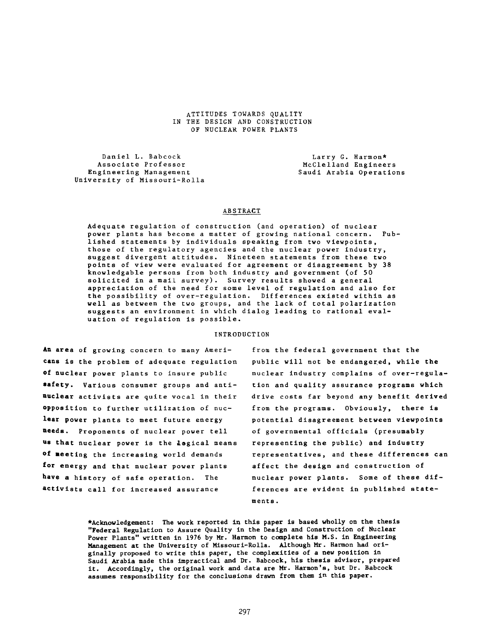**attitudes towards quality IN THE DESIGN AND CONSTRUCTION OF NUCLEAR POWER PLANTS**

**Daniel L. Babcock Larry G. Harmon\***<br> **Associate Professor** Associate Professor **McClelland Enginee** Associate Professor **McClelland Engineers**<br>Engineering Management **McClelland Engineers University of Missouri-Ro11a**

**Engineering Management Saudi Arabia Operations**

### **ABSTRACT**

**Adequate regulation of construction (and operation) of nuclear power plants has become a matter of growing national concern. Published statements by individuals speaking from two viewpoints, those of the regulatory agencies and the nuclear power industry, suggest divergent attitudes. Nineteen statements from these two points of view were evaluated for agreement or disagreement by 38 knowledgable persons from both industry and government (of 50 solicited in a mail survey). Survey results showed a general appreciation of the need for some level of regulation and also for the possibility of over-regulation. Differences existed within as well as between the two groups, and the lack of total polarization suggests an environment in which dialog leading to rational evaluation of regulation is possible.**

#### **INTRODUCTION**

**An area of growing concern to many Americans is the problem of adequate regulation of nuclear power plants to insure public safety. Various consumer groups and antinuclear activists are quite vocal in their opposition to further utilization of nuclear power plants to meet future energy needs. Proponents of nuclear power tell os that nuclear power is the logical means of meeting the increasing world demands for energy and that nuclear power plants have a history of safe operation. The activists call for increased assurance**

**from the federal government that the public will not be endangered, while the nuclear industry complains of over-regulation and quality assurance programs which drive costs far beyond any benefit derived from the programs. Obviously, there is potential disagreement between viewpoints of governmental officials (presumably representing the public) and industry representatives, and these differences can affect the design and construction of nuclear power plants. Some of these differences are evident in published statements .**

**\*Acknowledgement: The work reported in this paper is based wholly on the thesis "Federal Regulation to Assure Quality in the Design and Construction of Nuclear Power Plants" written in 1976 by Mr. Harmon to complete his M.S. in Engineering Management at the University of Missouri-Rolla. Although Mr. Harmon had originally proposed to write this paper, the complexities of a new position in Saudi Arabia made this impractical and Dr. Babcock, his thesis advisor, prepared it. Accordingly, the original work and data are Mr. Harmon's, but Dr. Babcock assumes responsibility for the conclusions drawn from them in this paper.**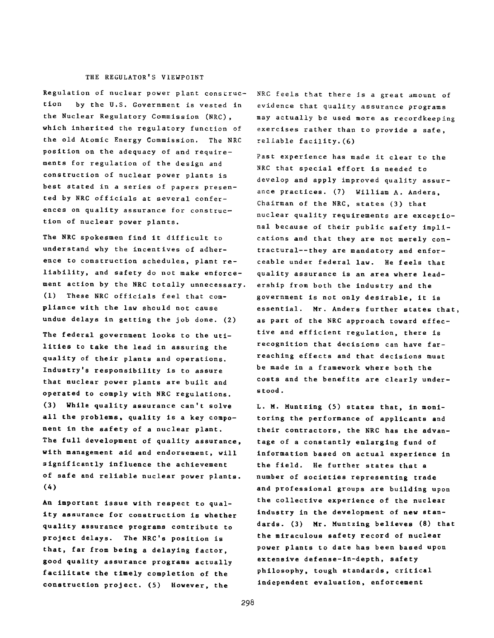## THE REGULATOR'S VIEWPOINT

**Regulation of nuclear power plant construction by the U.S. Government is vested in the Nuclear Regulatory Commission (NRC), which inherited the regulatory function of the old Atomic Energy Commission. The NRC position on the adequacy of and requirements for regulation of the design and construction of nuclear power plants is best stated in a series of papers presented by NRC officials at several conferences on quality assurance for construction of nuclear power plants.**

**The NRC spokesmen find it difficult to understand why the incentives of adherence to construction schedules, plant reliability, and safety do not make enforcement action by the NRC totally unnecessary. (1) These NRC officials feel that compliance with the law should not cause undue delays in getting the job done. (2)**

**The federal government looks to the utilities to take the lead in assuring the quality of their plants and operations. Industry's responsibility is to assure that nuclear power plants are built and operated to comply with NRC regulations. (3) While quality assurance can't solve all the problems, quality is a key component in the safety of a nuclear plant. The full development of quality assurance, with management aid and endorsement, will significantly influence the achievement of safe and reliable nuclear power plants. (4)**

**An important issue with respect to quality assurance for construction is whether quality assurance programs contribute to** project delays. The NRC's position is **that, far from being a delaying factor, good quality assurance programs actually facilitate the timely completion of the construction project. (5) However, the**

**NRC feels that there is a great amount of evidence that quality assurance programs may actually be used more as recordkeeping exercises rather than to provide a safe, reliable facility.(6)**

**Past experience has made it clear to the NRC that special effort is needed to develop and apply improved quality assurance practices. (7) William A. Anders, Chairman of the NRC, states (3) that nuclear quality requirements are exceptional because of their public safety implications and that they are not merely contractural— they are mandatory and enforceable under federal law. He feels that quality assurance is an area where leadership from both the industry and the government is not only desirable, it is essential. Mr. Anders further states that, as part of the NRC approach toward effective and efficient regulation, there is recognition that decisions can have farreaching effects and that decisions must be made in a framework where both the costs and the benefits are clearly unders tood .**

**L. M. Muntzing (5) states that, in monitoring the performance of applicants and their contractors, the NRC has the advantage of a constantly enlarging fund of information based on actual experience in the field. He further states that a number of societies representing trade and professional groups are building upon the collective experience of the nuclear industry in the development of new standards. (3) Mr. Muntzing believes (8) that the miraculous safety record of nuclear power plants to date has been based upon extensive defense-in-depth, safety philosophy, tough standards, critical independent evaluation, enforcement**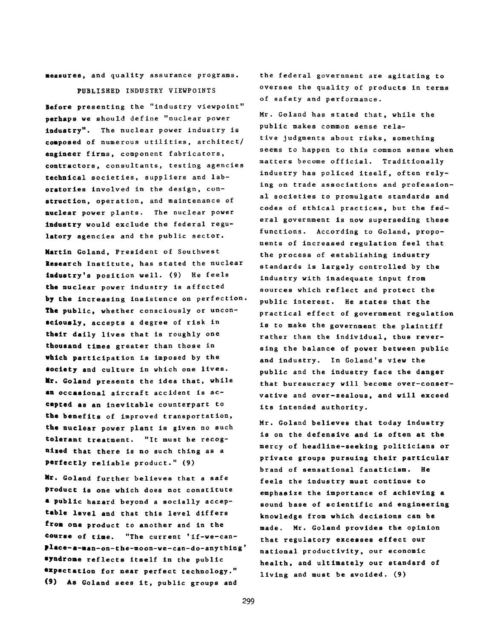**measures, and quality assurance programs.**

**PUBLISHED INDUSTRY VIEWPOINTS**

**Before presenting the "industry viewpoint" perhaps we should define "nuclear power industry". The nuclear power industry is composed of numerous utilities, architect/ engineer firms, component fabricators, contractors, consultants, testing agencies technical societies, suppliers and laboratories involved in the design, construction, operation, and maintenance of nuclear power plants. The nuclear power industry would exclude the federal regulatory agencies and the public sector.**

**Martin Goland, President of Southwest Research Institute, has stated the nuclear industry's position well. (9) He feels the nuclear power industry is affected by the increasing insistence on perfection. The public, whether consciously or unconsciously, accepts a degree of risk in their daily lives that is roughly one thousand times greater than those in which participation is imposed by the society and culture in which one lives. Mr. Goland presents the idea that, while an occasional aircraft accident is accepted as an inevitable counterpart to the benefits of improved transportation, the nuclear power plant is given no such tolerant treatment. "It must be recognised that there is no such thing as a perfectly reliable product." (9)**

**Mr. Goland further believes that a safe product is one which does not constitute \* public hazard beyond a socially acceptable level and that this level differs from one product to another and in the course of time. "The current 'if-we-canplace- a-man-on-the-moon-we-can-do-anything' syndrome reflects itself in the public expectation for near perfect technology." (9) As Goland sees it, public groups and**

**the federal government are agitating to oversee the quality of products in terms of safety and performance.**

**Mr. Goland has stated that, while the public makes common sense relative judgments about risks, something seems to happen to this common sense when matters become official. Traditionally industry has policed itself, often relying on trade associations and professional societies to promulgate standards and codes of ethical practices, but the federal government is now superseding these functions. According to Goland, proponents of increased regulation feel that the process of establishing industry standards is largely controlled by the industry with inadequate input from sources which reflect and protect the public interest. He states that the practical effect of government regulation is to make the government the plaintiff rather than the individual, thus reversing the balance of power between public and industry. In Goland's view the public and the industry face the danger that bureaucracy will become over-conservative and over-zealous, and will exceed its intended authority.**

**Mr. Goland believes that today industry is on the defensive and is often at the mercy of headline-seeking politicians or private groups pursuing their particular brand of sensational fanaticism. He feels the Industry must continue to emphasize the importance of achieving a sound base of scientific and engineering knowledge from which decisions can be made. Mr. Goland provides the opinion that regulatory excesses effect our national productivity, our economic health, and ultimately our standard of living and must be avoided. (9)**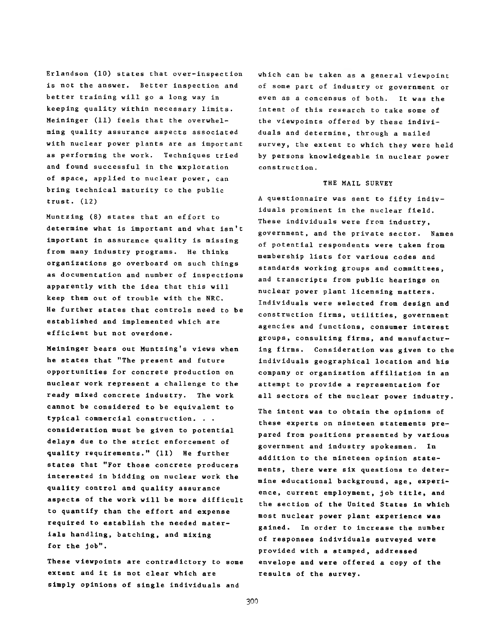**Erlandson (10) states that over-inspection is not the answer. Better inspection and better training will go a long way in keeping quality within necessary limits. Meininger (11) feels that the overwhelming quality assurance aspects associated with nuclear power plants are as important as performing the work. Techniques tried and found successful in the Exploration of space, applied to nuclear power, can bring technical maturity to the public trust. (12)**

**Muntzing (8) states that an effort to determine what is important and what isn't important in assurance quality is missing from many industry programs. He thinks organizations go overboard on such things as documentation and number of inspections apparently with the idea that this will keep them out of trouble with the NRC. He further states that controls need to be established and implemented which are efficient but not overdone.**

**Meininger bears out Muntzing's views when he states that "The present and future opportunities for concrete production on nuclear work represent a challenge to the ready mixed concrete industry. The work cannot be considered to be equivalent to typical commercial construction. . . consideration must be given to potential delays due to the strict enforcement of quality requirements." (11) He further states that "For those concrete producers interested in bidding on nuclear work the quality control and quality assurance aspects of the work will be more difficult to quantify than the effort and expense required to establish the needed materials handling, batching, and mixing for the job".**

**These viewpoints are contradictory to some extent and it is not clear which are simply opinions of single individuals and**

**which can be taken as a general viewpoint of some part of industry or government or even as a concensus of both. It was the intent of this research to take some of the viewpoints offered by these individuals and determine, through a mailed survey, the extent to which they were held by persons knowledgeable in nuclear power construct ion.**

### **THE MAIL SURVEY**

**A questionnaire was sent to fifty individuals prominent in the nuclear field. These individuals were from industry, government, and the private sector. Names of potential respondents were taken from membership lists for various codes and standards working groups and committees, and transcripts from public hearings on nuclear power plant licensing matters. Individuals were selected from design and construction firms, utilities, government agencies and functions, consumer interest groups, consulting firms, and manufacturing firms. Consideration was given to the individuals geographical location and his company or organization affiliation in an attempt to provide a representation for all sectors of the nuclear power industry.**

**The intent was to obtain the opinions of these experts on nineteen statements prepared from positions presented by various government and industry spokesmen. In addition to the nineteen opinion statements, there were six questions to determine educational background, age, experience, current employment, job title, and the section of the United States in which most nuclear power plant experience was gained. In order to increase the number of responses individuals surveyed were provided with a stamped, addressed envelope and were offered a copy of the results of the survey.**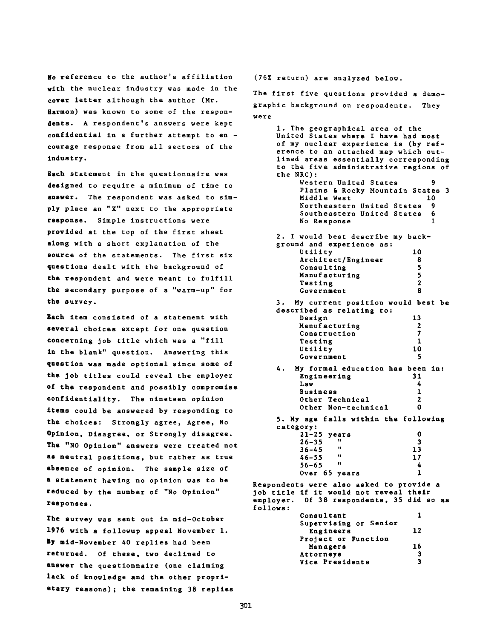**No reference to the author's affiliation with the nuclear industry was made in the cover letter although the author (Hr. Harmon) was known to some of the respondents. A respondent's answers were kept confidential in a further attempt to en courage response from all sectors of the industry.**

**Each statement in the questionnaire was designed to require a minimum of time to answer. The respondent was asked to simply place an "X" next to the appropriate response. Simple instructions were provided at the top of the first sheet along with a short explanation of the source of the statements. The first six questions dealt with the background of the respondent and were meant to fulfill the secondary purpose of a "warm-up" for the survey.**

**Each item consisted of a statement with several choices except for one question concerning job title which was a "fill in the blank" question. Answering this question was made optional since some of the job titles could reveal the employer of the respondent and possibly compromise confidentiality. The nineteen opinion items could be answered by responding to the choices: Strongly agree, Agree, No Opinion, Disagree, or Strongly disagree. The "NO Opinion" answers were treated not as neutral positions, but rather as true absence of opinion. The sample size of a statement having no opinion was to be reduced by the number of "No Opinion" responses.**

**The survey was sent out in mid-October 1976 with a followup appeal November 1. By mid-November AO replies had been returned. Of these, two declined to answer the questionnaire (one claiming lack of knowledge and the other proprietary reasons); the remaining 38 replies** **(76% return) are analyzed below.**

**The first five questions provided a demographic background on respondents. They were**

**1. The geographical area of the United States where 1 have had most of my nuclear experience is (by reference to an attached map which outlined areas essentially corresponding to the five administrative regions of the NRC):** Western United States **Plains & Rocky Mountain States 3 Middle West 10 Northeastern United States 9 Southeastern United States 6 No Response 1 2. I would best describe my background and experience as: Utility 10 Architect/Engineer 8 Consulting 5 Manufacturing 5 Testing 2** Government 8 **3. My current position would best be described as relating to: Design 13 Manufacturing 2**<br> **Construction** 7 **Construction 7**<br> **Testing 1** Testing 1<br>Utility 10 **Utility 10 Government 5 4. My formal education has been in: Engineering 31 Law 4 Business 1 Other Technical 2**<br> **Other Non-technical** 0 **Other Non-technical 0 5. My age falls within the following category: 21-25 years 0 26-35 " 3 36-45 " 13 46-55 " 17 56-65 " 4 Over 65 years 1 Respondents were also asked to provide a job title if it would not reveal their employer. Of 38 respondents, 35 did so as follows: Consultant 1 Supervising or Senior Engineers 12 Project or Function Managers 16 Attorneys 3 Vice Presidents 3**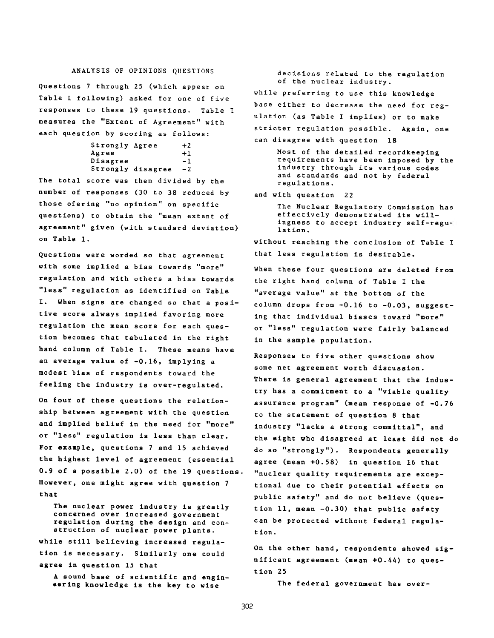## ANALYSIS OF OPINIONS QUESTIONS

**Questions 7 through 25 (which appear on Table I following) asked for one of five responses to these 19 questions. Table I measures the "Extent of Agreement" with each question by scoring as follows:**

> **Strongly Agree + 2** Agree  $+1$ **Disagree -1 Strongly disagree -2**

**The total score was then divided by the number of responses (30 to 38 reduced by those ofering "no opinion" on specific questions) to obtain the "mean extent of agreement" given (with standard deviation) on Table 1.**

**Questions were worded so that agreement with some implied a bias towards "more" regulation and with others a bias towards "less" regulation as identified on Table I. When signs are changed so that a positive score always implied favoring more regulation the mean score for each question becomes that tabulated in the right hand column of Table I. These means have an average value of -0.16, implying a modest bias of respondents toward the feeling the industry is over-regulated.**

**On four of these questions the relationship between agreement with the question and implied belief in the need for "more" or "less" regulation is less than clear. For example, questions 7 and 15 achieved the highest level of agreement (essential 0.9 of a possible 2.0) of the 19 questions. However, one might agree with question 7 that**

**The nuclear power industry is greatly concerned over increased government regulation during the design and construction of nuclear power plants. while still believing increased regulation is necessary. Similarly one could agree in question 15 that**

**A sound base of scientific and engineering knowledge is the key to wise**

**decisions related to the regulation of the nuclear industry. while preferring to use this knowledge base either to decrease the need for regulation (as Table I imp lies) or to make stricter regulation possible. Again, one can disagree with question 18**

> **Most of the detailed recordkeeping requirements have been imposed by the industry through its various codes and standards and not by federal regulations.**

**and with question 22**

**The Nuclear Regulatory Commission has effectively demonstrated its willingness to accept industry self-regulation.**

**without reaching the conclusion of Table I that less regulation is desirable.**

**When these four questions are deleted from the right hand column of Table I the "average value" at the bottom of the column drops from -0.16 to -0.03, suggesting that individual biases toward "more" or "less" regulation were fairly balanced in the sample population.**

**Responses to five other questions show some net agreement worth discussion. There is general agreement that the industry has a commitment to a "viable quality assurance program" (mean response of -0.76 to the statement of question 8 that industry "lacks a strong committal", and the eight who disagreed at least did not do do so "strongly"). Respondents generally agree (mean +0.58) in question 16 that "nuclear quality requirements are exceptional due to their potential effects on public safety" and do not believe (question 11, mean -0.30) that public safety can be protected without federal regulation.**

**On the other hand, respondents showed significant agreement (mean +0.44) to question 25**

**The federal government has over-**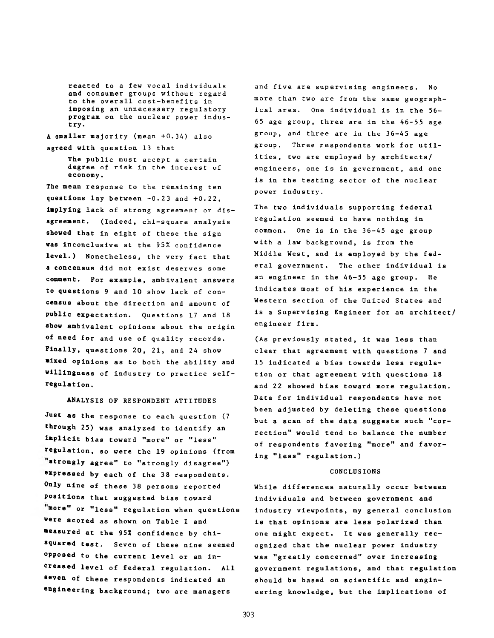**reacted to a few vocal individuals and consumer groups without regard to the overall cost-benefits in imposing an unnecessary regulatory program on the nuclear power industry.**

**A smaller majority (mean +0.34) also agreed with question 13 that**

**The public must accept a certain degree of risk in the interest of economy.**

**The mean response to the remaining ten questions lay between -0.23 and +0.22, implying lack of strong agreement or disagreement. (Indeed, chi-square analysis showed that in eight of these the sign was inconclusive at the 95% confidence level.) Nonetheless, the very fact that a concensus did not exist deserves some comment. For example, ambivalent answers to questions 9 and 10 show lack of concensus about the direction and amount of public expectation. Questions 17 and 18 show ambivalent opinions about the origin of need for and use of quality records. Finally, questions 20, 21, and 24 show mixed opinions as to both the ability and willingness of industry to practice selfregulation.**

**ANALYSIS OF RESPONDENT ATTITUDES**

**Just as the response to each question (7 through 25) was analyzed to identify an implicit bias toward "more" or "less" regulation, so were the 19 opinions (from strongly agree" to "strongly disagree") expressed by each of the 38 respondents. Only nine of these 38 persons reported positions that suggested bias toward more" or "less" regulation when questions were scored as shown on Table I and measured at the 95% confidence by chisquared test. Seven of these nine seemed opposed to the current level or an increased level of federal regulation. All seven of these respondents indicated an engineering background; two are managers**

**and five are supervising engineers. No more than two are from the same geographical area. One Individual is in the 56- 65 age group, three are in the 46-55 age group, and three are in the 36-45 age group. Three respondents work for utilities, two are employed by architects/ engineers, one is in government, and one is in the testing sector of the nuclear power industry.**

**The two individuals supporting federal regulation seemed to have nothing in common. One is in the 36-45 age group with a law background, is from the Middle West, and is employed by the federal government. The other individual is an engineer in the 46-55 age group. He indicates most of his experience in the Western section of the United States and is a Supervising Engineer for an architect/ engineer firm.**

**(As previously stated, it was less than clear that agreement with questions 7 and 15 indicated a bias towards less regulation or that agreement with questions 18 and 22 showed bias toward more regulation. Data for individual respondents have not been adjusted by deleting these questions but a scan of the data suggests such "correction" would tend to balance the number of respondents favoring "more" and favoring "less" regulation.)**

#### **CONCLUSIONS**

**While differences naturally occur between individuals and between government and industry viewpoints, my general conclusion is that opinions are less polarized than one might expect. It was generally recognized that the nuclear power industry was "greatly concerned" over increasing government regulations, and that regulation should be based on scientific and engineering knowledge, but the implications of**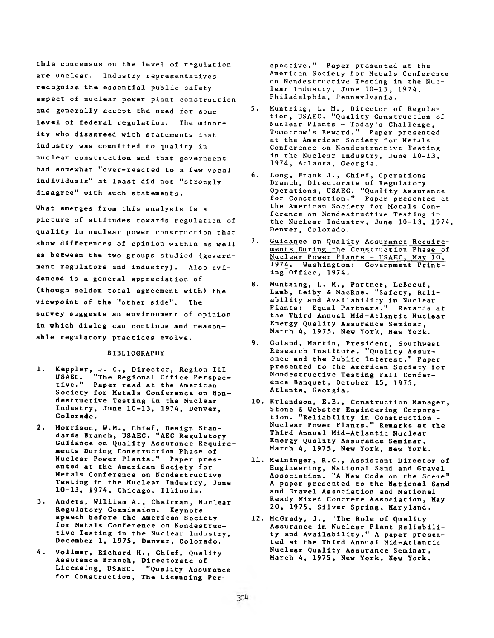**this concensus on the level of regulation are unclear. Industry representatives recognize the essential public safety aspect of nuclear power plant construction and generally accept the need for some level of federal regulation. The minority who disagreed with statements that industry was committed to quality in nuclear construction and that government had somewhat "over-reacted to a few vocal individuals" at least did not "strongly disagree" with such statements.**

**What emerges from this analysis is a picture of attitudes towards regulation of quality in nuclear power construction that show differences of opinion within as well as between the two groups studied (government regulators and industry). Also evidenced is a general appreciation of (though seldom total agreement with) the viewpoint of the "other side". The survey suggests an environment of opinion in which dialog can continue and reasonable regulatory practices evolve.**

#### **BIBLIOGRAPHY**

- **1. Keppler, J. G., Director, Region III USAEC. "The Regional Office Perspective." Paper read at the American Society for Metals Conference on Nondestructive Testing in the Nuclear Industry, June 10-13, 1974, Denver, Colorado.**
- **2. Morrison, W.M., Chief, Design Standards Branch, USAEC. "AEC Regulatory Guidance on Quality Assurance Requirements During Construction Phase of Nuclear Power Plants." Paper presented at the American Society for Metals Conference on Nondestructive Testing in the Nuclear Industry, June 10-13, 1974, Chicago, Illinois.**
- **3. Anders, William A., Chairman, Nuclear Regulatory Commission. Keynote speech before the American Society for Metals Conference on Nondestructive Testing in the Nuclear Industry, December 1, 1975, Denver, Colorado.**
- **4. Vollmer, Richard H., Chief, Quality Assurance Branch, Directorate of Licensing, USAEC. "Quality Assurance for Construction, The Licensing Per-**

**spective." Paper presented at the American Society for Metals Conference on Nondestructive Testing in the Nuclear Industry, June 10-13, 1974, Philadelphia, Pennsylvania.**

- **5. Muntzing, L. M., Director of Regulation, USAEC. "Quality Construction of Nuclear Plants - Today's Challenge, Tomorrow's Reward." Paper presented at the American Society for Metals Conference on Nondestructive Testing in the Nuclear Industry, June 10-13, 1974, Atlanta, Georgia.**
- **6. Long, Frank J., Chief, Operations Branch, Directorate of Regulatory Operations, USAEC. "Quality Assurance for Construction." Paper presented at the American Society for Metals Conference on Nondestructive Testing in the Nuclear Industry, June 10-13, 1974, Denver, Colorado.**
- **7. Guidance on Quality Assurance Requirements During the Construction Phase of Nuclear Power Plants - USAEC, May 10, 1974. Washington: Government Printing Office, 1974.**
- **8. Muntzing, L. M., Partner, LeBoeuf, Lamb, Leiby & MacRae. "Safety, Reliability and Availability in Nuclear Plants: Equal Partners." Remards at the Third Annual Mid-Atlantic Nuclear Energy Quality Assurance Seminar, March 4, 1975, New York, New York.**
- **9. Goland, Martin, President, Southwest Research Institute. "Quality Assurance and the Public Interest." Paper presented to the American Society for Nondestructive Testing Fall Conference Banquet, October 15, 1975, Atlanta, Georgia.**
- **10. Erlandson, E.E., Construction Manager, Stone & Webster Engineering Corporation. "Reliability in Construction - Nuclear Power Plants." Remarks at the Third Annual Mid-Atlantic Nuclear Energy Quality Assurance Seminar, March 4, 1975, New York, New York.**
- **11. Meininger, R.C., Assistant Director of Engineering, National Sand and Gravel Association. "A New Code on the Scene" A paper presented to the National Sand and Gravel Association and National Ready Mixed Concrete Association, May 20, 1975, Silver Spring, Maryland.**
- **12. McGrady, J., "The Role of Quality Assurance in Nuclear Plant Reliability and Availability." A paper presented at the Third Annual Mid-Atlantic Nuclear Quality Assurance Seminar, March 4, 1975, New York, New York.**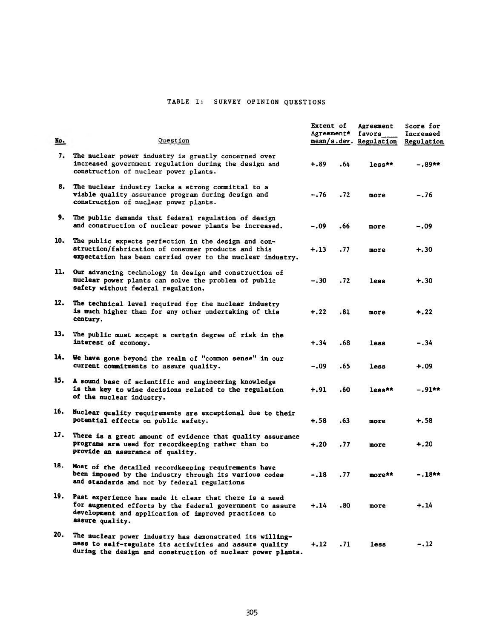# TABLE I: SURVEY OPINION QUESTIONS

| <u>No.</u> | Question                                                                                                                                                                                       | Extent of<br>Agreement* |      | Agreement<br>favors<br>mean/s.dev. Regulation | Score for<br>Increased<br>Regulation |
|------------|------------------------------------------------------------------------------------------------------------------------------------------------------------------------------------------------|-------------------------|------|-----------------------------------------------|--------------------------------------|
|            | 7. The nuclear power industry is greatly concerned over<br>increased government regulation during the design and<br>construction of nuclear power plants.                                      | $+.89$                  | . 64 | $less**$                                      | -.89**                               |
|            | 8. The nuclear industry lacks a strong committal to a<br>viable quality assurance program during design and<br>construction of nuclear power plants.                                           | $-.76$                  | .72  | more                                          | $-.76$                               |
| 9.         | The public demands that federal regulation of design<br>and construction of nuclear power plants be increased.                                                                                 | $-.09$                  | .66  | more                                          | -.09                                 |
| 10.        | The public expects perfection in the design and con-<br>struction/fabrication of consumer products and this<br>expectation has been carried over to the nuclear industry.                      | $+.13$                  | .77  | more                                          | $+.30$                               |
| 11.        | Our advancing technology in design and construction of<br>nuclear power plants can solve the problem of public<br>safety without federal regulation.                                           | $-.30$                  | .72  | <b>less</b>                                   | $+.30$                               |
| 12.        | The technical level required for the nuclear industry<br>is much higher than for any other undertaking of this<br>century.                                                                     | $+, 22$                 | .81  | more                                          | $+, 22$                              |
| 13.        | The public must accept a certain degree of risk in the<br>interest of economy.                                                                                                                 | $+.34$                  | .68  | <b>less</b>                                   | $-.34$                               |
| 14.        | We have gone beyond the realm of "common sense" in our<br>current commitments to assure quality.                                                                                               | -.09                    | .65  | <b>less</b>                                   | +.09                                 |
|            | 15. A sound base of scientific and engineering knowledge<br>is the key to wise decisions related to the regulation<br>of the nuclear industry.                                                 | $+, 91$                 | .60  | $_{\text{less}}$ **                           | $-.91**$                             |
| 16.        | Nuclear quality requirements are exceptional due to their<br>potential effects on public safety.                                                                                               | +.58                    | . 63 | more                                          | $+.58$                               |
| 17.        | There is a great amount of evidence that quality assurance<br>programs are used for recordkeeping rather than to<br>provide an assurance of quality.                                           | $+.20$                  | .77  | more                                          | $+.20$                               |
| 18.        | Most of the detailed recordkeeping requirements have<br>been imposed by the industry through its various codes<br>and standards and not by federal regulations                                 | -.18                    | .77  | more**                                        | $-.18$ **                            |
| 19.        | Past experience has made it clear that there is a need<br>for augmented efforts by the federal government to assure<br>development and application of improved practices to<br>assure quality. | +.14                    | .80  | more                                          | $+.14$                               |
| 20.        | The nuclear power industry has demonstrated its willing-<br>ness to self-regulate its activities and assure quality<br>during the design and construction of nuclear power plants.             | +.12                    | .71  | less                                          | -.12                                 |